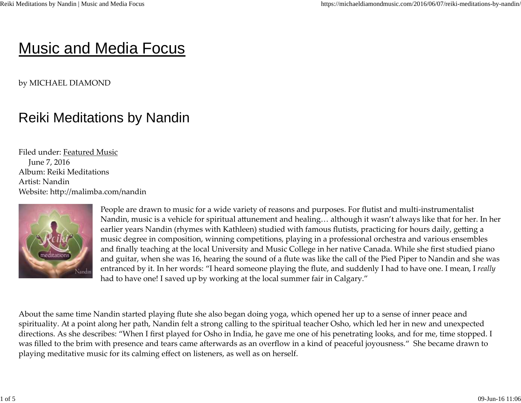## Music and Media Focus

by MICHAEL DIAMOND

## Reiki Meditations by Nandin

Filed under: Featured MusicJune 7, 2016 Album: Reiki MeditationsArtist: NandinWebsite: http://malimba.com/nandin



People are drawn to music for a wide variety of reasons and purposes. For flutist and multi-instrumentalistNandin, music is a vehicle for spiritual attunement and healing… although it wasn't always like that for her. In her earlier years Nandin (rhymes with Kathleen) studied with famous flutists, practicing for hours daily, getting a music degree in composition, winning competitions, playing in a professional orchestra and various ensembles and finally teaching at the local University and Music College in her native Canada. While she first studied piano and guitar, when she was 16, hearing the sound of a flute was like the call of the Pied Piper to Nandin and she was entranced by it. In her words: "I heard someone playing the flute, and suddenly I had to have one. I mean, I *really*had to have one! I saved up by working at the local summer fair in Calgary."

About the same time Nandin started playing flute she also began doing yoga, which opened her up to a sense of inner peace and spirituality. At a point along her path, Nandin felt a strong calling to the spiritual teacher Osho, which led her in new and unexpected directions. As she describes: "When I first played for Osho in India, he gave me one of his penetrating looks, and for me, time stopped. Iwas filled to the brim with presence and tears came afterwards as an overflow in a kind of peaceful joyousness." She became drawn toplaying meditative music for its calming effect on listeners, as well as on herself.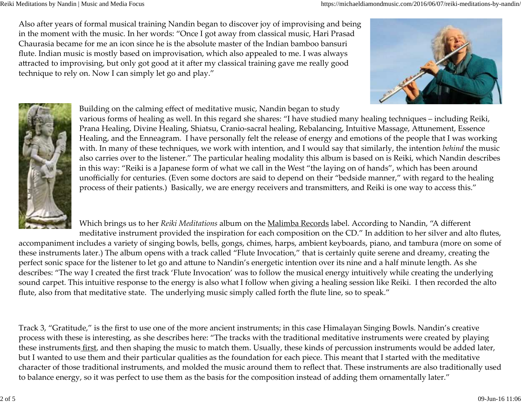Reiki Meditations by Nandin | Music and Media Focus

Also after years of formal musical training Nandin began to discover joy of improvising and beingin the moment with the music. In her words: "Once I got away from classical music, Hari PrasadChaurasia became for me an icon since he is the absolute master of the Indian bamboo bansuriflute. Indian music is mostly based on improvisation, which also appealed to me. I was alwaysattracted to improvising, but only got good at it after my classical training gave me really good technique to rely on. Now I can simply let go and play."





Building on the calming effect of meditative music, Nandin began to study

 various forms of healing as well. In this regard she shares: "I have studied many healing techniques – including Reiki, Prana Healing, Divine Healing, Shiatsu, Cranio-sacral healing, Rebalancing, Intuitive Massage, Attunement, Essence Healing, and the Enneagram. I have personally felt the release of energy and emotions of the people that I was working with. In many of these techniques, we work with intention, and I would say that similarly, the intention *behind* the music also carries over to the listener." The particular healing modality this album is based on is Reiki, which Nandin describesin this way: "Reiki is a Japanese form of what we call in the West "the laying on of hands", which has been around unofficially for centuries. (Even some doctors are said to depend on their "bedside manner," with regard to the healingprocess of their patients.) Basically, we are energy receivers and transmitters, and Reiki is one way to access this."

Which brings us to her *Reiki Meditations* album on the *Malimba Records* label. According to Nandin, "A different meditative instrument provided the inspiration for each composition on the CD." In addition to her silver and alto flutes,

accompaniment includes a variety of singing bowls, bells, gongs, chimes, harps, ambient keyboards, piano, and tambura (more on some ofthese instruments later.) The album opens with a track called "Flute Invocation," that is certainly quite serene and dreamy, creating theperfect sonic space for the listener to let go and attune to Nandin's energetic intention over its nine and a half minute length. As she describes: "The way I created the first track 'Flute Invocation' was to follow the musical energy intuitively while creating the underlying sound carpet. This intuitive response to the energy is also what I follow when giving a healing session like Reiki. I then recorded the altoflute, also from that meditative state. The underlying music simply called forth the flute line, so to speak."

Track 3, "Gratitude," is the first to use one of the more ancient instruments; in this case Himalayan Singing Bowls. Nandin's creative process with these is interesting, as she describes here: "The tracks with the traditional meditative instruments were created by playingthese instruments<u> first</u>, and then shaping the music to match them. Usually, these kinds of percussion instruments would be added later, but I wanted to use them and their particular qualities as the foundation for each piece. This meant that I started with the meditative character of those traditional instruments, and molded the music around them to reflect that. These instruments are also traditionally usedto balance energy, so it was perfect to use them as the basis for the composition instead of adding them ornamentally later."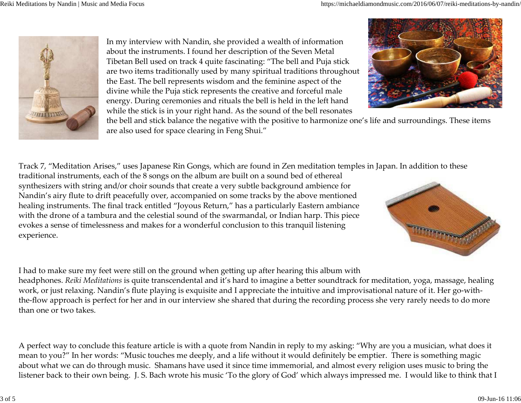

In my interview with Nandin, she provided a wealth of informationabout the instruments. I found her description of the Seven MetalTibetan Bell used on track 4 quite fascinating: "The bell and Puja stick are two items traditionally used by many spiritual traditions throughoutthe East. The bell represents wisdom and the feminine aspect of the divine while the Puja stick represents the creative and forceful male energy. During ceremonies and rituals the bell is held in the left handwhile the stick is in your right hand. As the sound of the bell resonates



 the bell and stick balance the negative with the positive to harmonize one's life and surroundings. These itemsare also used for space clearing in Feng Shui."

Track 7, "Meditation Arises," uses Japanese Rin Gongs, which are found in Zen meditation temples in Japan. In addition to these

traditional instruments, each of the 8 songs on the album are built on a sound bed of etherealsynthesizers with string and/or choir sounds that create a very subtle background ambience for Nandin's airy flute to drift peacefully over, accompanied on some tracks by the above mentioned healing instruments. The final track entitled "Joyous Return," has a particularly Eastern ambiance with the drone of a tambura and the celestial sound of the swarmandal, or Indian harp. This pieceevokes a sense of timelessness and makes for a wonderful conclusion to this tranquil listeningexperience.



I had to make sure my feet were still on the ground when getting up after hearing this album with headphones. *Reiki Meditations* is quite transcendental and it's hard to imagine a better soundtrack for meditation*,* yoga*,* massage*,* healing work, or just relaxing. Nandin's flute playing is exquisite and I appreciate the intuitive and improvisational nature of it. Her go-withthe-flow approach is perfect for her and in our interview she shared that during the recording process she very rarely needs to do morethan one or two takes.

A perfect way to conclude this feature article is with a quote from Nandin in reply to my asking: "Why are you a musician, what does itmean to you?" In her words: "Music touches me deeply, and a life without it would definitely be emptier. There is something magic about what we can do through music. Shamans have used it since time immemorial, and almost every religion uses music to bring thelistener back to their own being. J. S. Bach wrote his music 'To the glory of God' which always impressed me. I would like to think that I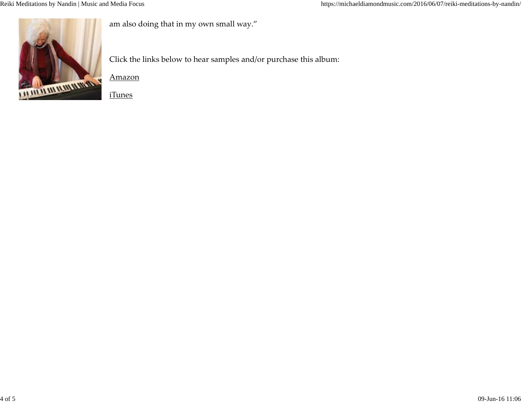

am also doing that in my own small way."

Click the links below to hear samples and/or purchase this album:

Amazon

iTunes